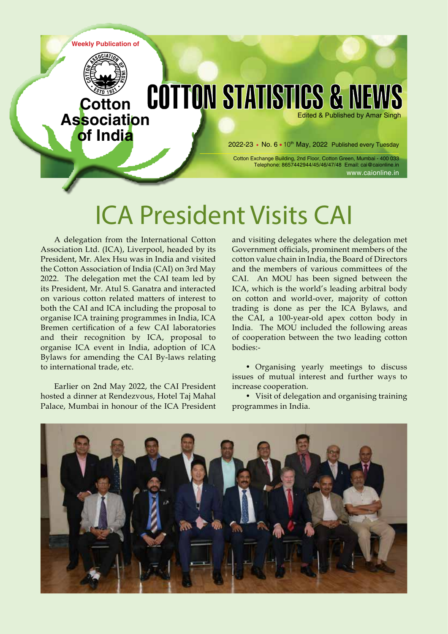

# ICA President Visits CAI

A delegation from the International Cotton Association Ltd. (ICA), Liverpool, headed by its President, Mr. Alex Hsu was in India and visited the Cotton Association of India (CAI) on 3rd May 2022. The delegation met the CAI team led by its President, Mr. Atul S. Ganatra and interacted on various cotton related matters of interest to both the CAI and ICA including the proposal to organise ICA training programmes in India, ICA Bremen certification of a few CAI laboratories and their recognition by ICA, proposal to organise ICA event in India, adoption of ICA Bylaws for amending the CAI By-laws relating to international trade, etc.

Earlier on 2nd May 2022, the CAI President hosted a dinner at Rendezvous, Hotel Taj Mahal Palace, Mumbai in honour of the ICA President and visiting delegates where the delegation met Government officials, prominent members of the cotton value chain in India, the Board of Directors and the members of various committees of the CAI. An MOU has been signed between the ICA, which is the world's leading arbitral body on cotton and world-over, majority of cotton trading is done as per the ICA Bylaws, and the CAI, a 100-year-old apex cotton body in India. The MOU included the following areas of cooperation between the two leading cotton bodies:-

• Organising yearly meetings to discuss issues of mutual interest and further ways to increase cooperation.

• Visit of delegation and organising training programmes in India.

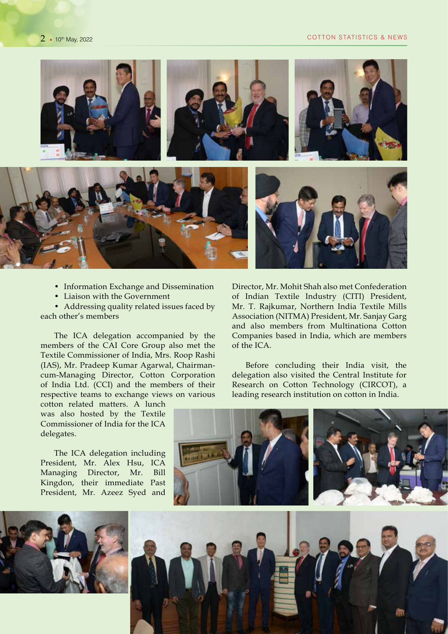

- Information Exchange and Dissemination
- Liaison with the Government

• Addressing quality related issues faced by each other's members

The ICA delegation accompanied by the members of the CAI Core Group also met the Textile Commissioner of India, Mrs. Roop Rashi (IAS), Mr. Pradeep Kumar Agarwal, Chairmancum-Managing Director, Cotton Corporation of India Ltd. (CCI) and the members of their respective teams to exchange views on various

cotton related matters. A lunch was also hosted by the Textile Commissioner of India for the ICA delegates.

The ICA delegation including President, Mr. Alex Hsu, ICA Managing Director, Mr. Bill Kingdon, their immediate Past President, Mr. Azeez Syed and







Director, Mr. Mohit Shah also met Confederation of Indian Textile Industry (CITI) President, Mr. T. Rajkumar, Northern India Textile Mills Association (NITMA) President, Mr. Sanjay Garg and also members from Multinationa Cotton Companies based in India, which are members of the ICA.

Before concluding their India visit, the delegation also visited the Central Institute for Research on Cotton Technology (CIRCOT), a leading research institution on cotton in India.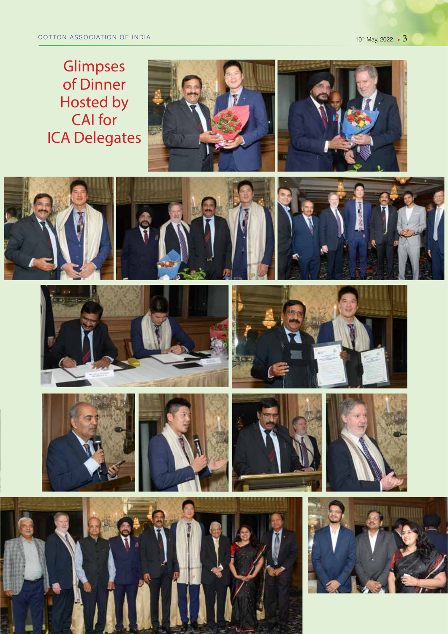## Glimpses of Dinner Hosted by<br>CAI for **ICA Delegates**

























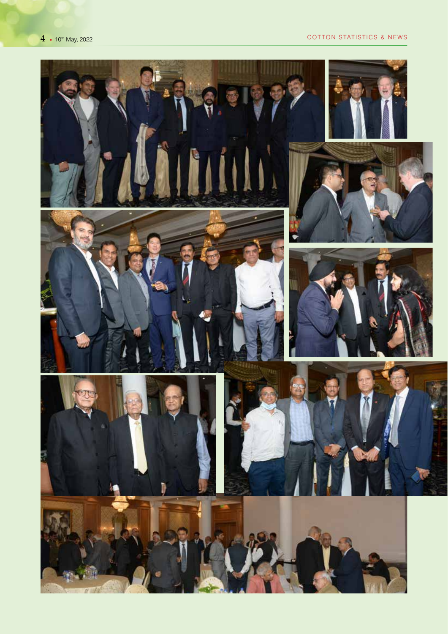#### COTTON STATISTICS & NEWS

leg.













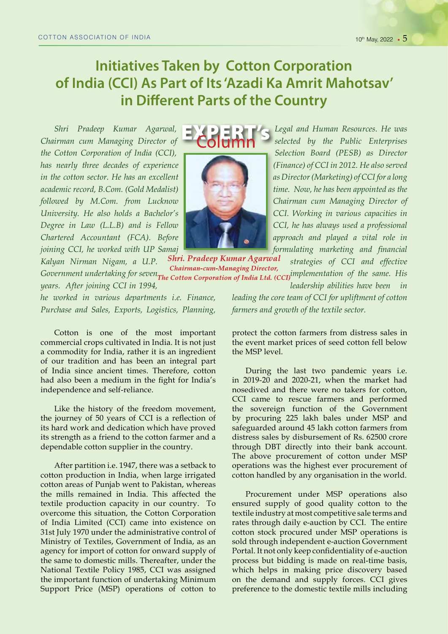### **Initiatives Taken by Cotton Corporation of India (CCI) As Part of Its 'Azadi Ka Amrit Mahotsav' in Different Parts of the Country**

*Shri Pradeep Kumar Agarwal, Chairman cum Managing Director of the Cotton Corporation of India (CCI), has nearly three decades of experience in the cotton sector. He has an excellent academic record, B.Com. (Gold Medalist) followed by M.Com. from Lucknow University. He also holds a Bachelor's Degree in Law (L.L.B) and is Fellow Chartered Accountant (FCA). Before joining CCI, he worked with UP Samaj* 

Shri. Pradeep Kumar Agarwal *Kalyan Nirman Nigam, a U.P. strategies of CCI and effective*  Chairman-cum-Managing Director, Government undertaking for seven<sub>The Cotton Cornoration of India I td. (CCD<sup>implementation of the same. His</sub></sub></sup> *years. After joining CCI in 1994, leadership abilities have been in he worked in various departments i.e. Finance, leading the core team of CCI for upliftment of cotton Purchase and Sales, Exports, Logistics, Planning,* 

Cotton is one of the most important commercial crops cultivated in India. It is not just a commodity for India, rather it is an ingredient of our tradition and has been an integral part of India since ancient times. Therefore, cotton had also been a medium in the fight for India's independence and self-reliance.

Like the history of the freedom movement, the journey of 50 years of CCI is a reflection of its hard work and dedication which have proved its strength as a friend to the cotton farmer and a dependable cotton supplier in the country.

After partition i.e. 1947, there was a setback to cotton production in India, when large irrigated cotton areas of Punjab went to Pakistan, whereas the mills remained in India. This affected the textile production capacity in our country. To overcome this situation, the Cotton Corporation of India Limited (CCI) came into existence on 31st July 1970 under the administrative control of Ministry of Textiles, Government of India, as an agency for import of cotton for onward supply of the same to domestic mills. Thereafter, under the National Textile Policy 1985, CCI was assigned the important function of undertaking Minimum Support Price (MSP) operations of cotton to *farmers and growth of the textile sector.*

protect the cotton farmers from distress sales in the event market prices of seed cotton fell below the MSP level.

During the last two pandemic years i.e. in 2019-20 and 2020-21, when the market had nosedived and there were no takers for cotton, CCI came to rescue farmers and performed the sovereign function of the Government by procuring 225 lakh bales under MSP and safeguarded around 45 lakh cotton farmers from distress sales by disbursement of Rs. 62500 crore through DBT directly into their bank account. The above procurement of cotton under MSP operations was the highest ever procurement of cotton handled by any organisation in the world.

Procurement under MSP operations also ensured supply of good quality cotton to the textile industry at most competitive sale terms and rates through daily e-auction by CCI. The entire cotton stock procured under MSP operations is sold through independent e-auction Government Portal. It not only keep confidentiality of e-auction process but bidding is made on real-time basis, which helps in making price discovery based on the demand and supply forces. CCI gives preference to the domestic textile mills including



*Legal and Human Resources. He was selected by the Public Enterprises Selection Board (PESB) as Director (Finance) of CCI in 2012. He also served as Director (Marketing) of CCI for a long time. Now, he has been appointed as the Chairman cum Managing Director of CCI. Working in various capacities in CCI, he has always used a professional approach and played a vital role in formulating marketing and financial*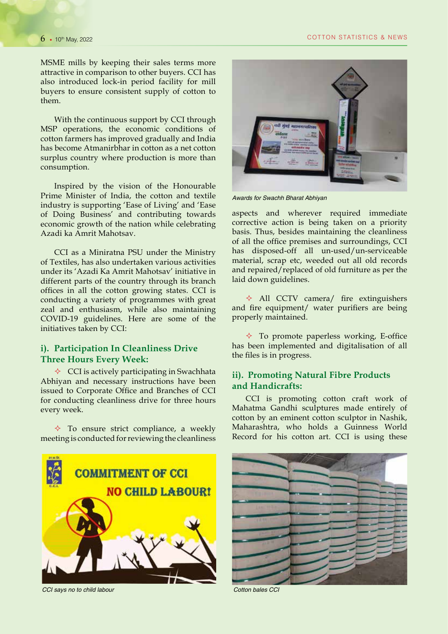MSME mills by keeping their sales terms more attractive in comparison to other buyers. CCI has also introduced lock-in period facility for mill buyers to ensure consistent supply of cotton to them.

With the continuous support by CCI through MSP operations, the economic conditions of cotton farmers has improved gradually and India has become Atmanirbhar in cotton as a net cotton surplus country where production is more than consumption.

Inspired by the vision of the Honourable Prime Minister of India, the cotton and textile industry is supporting 'Ease of Living' and 'Ease of Doing Business' and contributing towards economic growth of the nation while celebrating Azadi ka Amrit Mahotsav.

CCI as a Miniratna PSU under the Ministry of Textiles, has also undertaken various activities under its 'Azadi Ka Amrit Mahotsav' initiative in different parts of the country through its branch offices in all the cotton growing states. CCI is conducting a variety of programmes with great zeal and enthusiasm, while also maintaining COVID-19 guidelines. Here are some of the initiatives taken by CCI:

#### **i). Participation In Cleanliness Drive Three Hours Every Week:**

 $\Diamond$  CCI is actively participating in Swachhata Abhiyan and necessary instructions have been issued to Corporate Office and Branches of CCI for conducting cleanliness drive for three hours every week.

 $\Diamond$  To ensure strict compliance, a weekly meeting is conducted for reviewing the cleanliness



*CCI says no to child labour Cotton bales CCI*



*Awards for Swachh Bharat Abhiyan*

aspects and wherever required immediate corrective action is being taken on a priority basis. Thus, besides maintaining the cleanliness of all the office premises and surroundings, CCI has disposed-off all un-used/un-serviceable material, scrap etc, weeded out all old records and repaired/replaced of old furniture as per the laid down guidelines.

 All CCTV camera/ fire extinguishers and fire equipment/ water purifiers are being properly maintained.

 $\Diamond$  To promote paperless working, E-office has been implemented and digitalisation of all the files is in progress.

#### **ii). Promoting Natural Fibre Products and Handicrafts:**

CCI is promoting cotton craft work of Mahatma Gandhi sculptures made entirely of cotton by an eminent cotton sculptor in Nashik, Maharashtra, who holds a Guinness World Record for his cotton art. CCI is using these

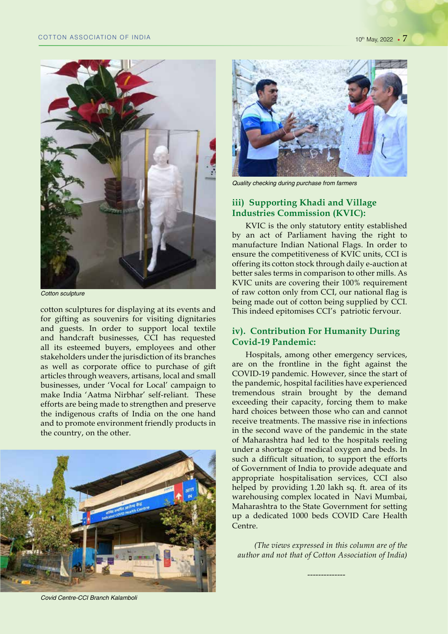

*Cotton sculpture*

cotton sculptures for displaying at its events and for gifting as souvenirs for visiting dignitaries and guests. In order to support local textile and handcraft businesses, CCI has requested all its esteemed buyers, employees and other stakeholders under the jurisdiction of its branches as well as corporate office to purchase of gift articles through weavers, artisans, local and small businesses, under 'Vocal for Local' campaign to make India 'Aatma Nirbhar' self-reliant. These efforts are being made to strengthen and preserve the indigenous crafts of India on the one hand and to promote environment friendly products in the country, on the other.



*Quality checking during purchase from farmers*

#### **iii) Supporting Khadi and Village Industries Commission (KVIC):**

KVIC is the only statutory entity established by an act of Parliament having the right to manufacture Indian National Flags. In order to ensure the competitiveness of KVIC units, CCI is offering its cotton stock through daily e-auction at better sales terms in comparison to other mills. As KVIC units are covering their 100% requirement of raw cotton only from CCI, our national flag is being made out of cotton being supplied by CCI. This indeed epitomises CCI's patriotic fervour.

#### **iv). Contribution For Humanity During Covid-19 Pandemic:**

Hospitals, among other emergency services, are on the frontline in the fight against the COVID-19 pandemic. However, since the start of the pandemic, hospital facilities have experienced tremendous strain brought by the demand exceeding their capacity, forcing them to make hard choices between those who can and cannot receive treatments. The massive rise in infections in the second wave of the pandemic in the state of Maharashtra had led to the hospitals reeling under a shortage of medical oxygen and beds. In such a difficult situation, to support the efforts of Government of India to provide adequate and appropriate hospitalisation services, CCI also helped by providing 1.20 lakh sq. ft. area of its warehousing complex located in Navi Mumbai, Maharashtra to the State Government for setting up a dedicated 1000 beds COVID Care Health Centre.

*(The views expressed in this column are of the author and not that of Cotton Association of India)*

--------------

*Covid Centre-CCI Branch Kalamboli*